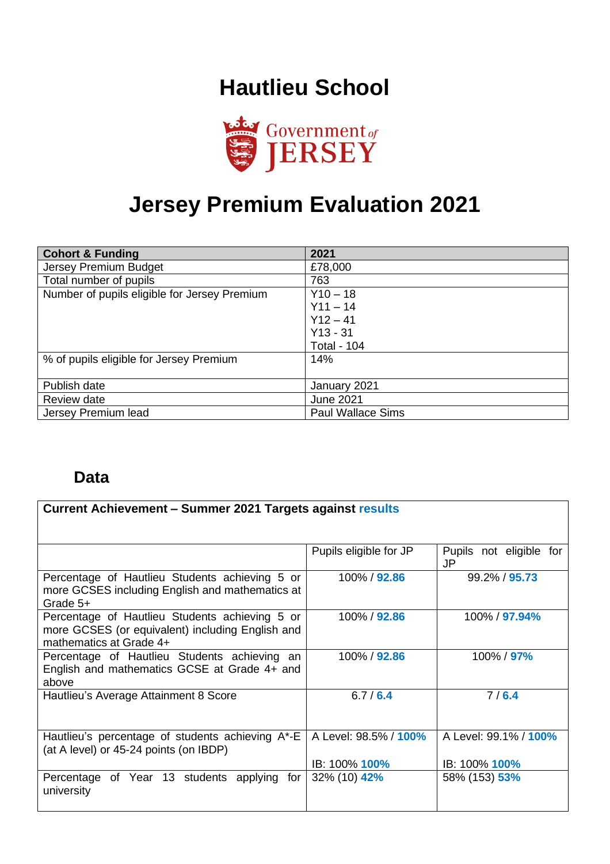## **Hautlieu School**



# **Jersey Premium Evaluation 2021**

| <b>Cohort &amp; Funding</b>                  | 2021                     |
|----------------------------------------------|--------------------------|
| Jersey Premium Budget                        | £78,000                  |
| Total number of pupils                       | 763                      |
| Number of pupils eligible for Jersey Premium | $Y10 - 18$               |
|                                              | $Y11 - 14$               |
|                                              | $Y12 - 41$               |
|                                              | $Y13 - 31$               |
|                                              | <b>Total - 104</b>       |
| % of pupils eligible for Jersey Premium      | 14%                      |
|                                              |                          |
| Publish date                                 | January 2021             |
| Review date                                  | <b>June 2021</b>         |
| Jersey Premium lead                          | <b>Paul Wallace Sims</b> |

#### **Data**

| Current Achievement – Summer 2021 Targets against results                                                                     |                               |                                      |
|-------------------------------------------------------------------------------------------------------------------------------|-------------------------------|--------------------------------------|
|                                                                                                                               |                               |                                      |
|                                                                                                                               | Pupils eligible for JP        | Pupils not eligible for<br><b>JP</b> |
| Percentage of Hautlieu Students achieving 5 or<br>more GCSES including English and mathematics at<br>Grade 5+                 | 100% / 92.86                  | 99.2% / 95.73                        |
| Percentage of Hautlieu Students achieving 5 or<br>more GCSES (or equivalent) including English and<br>mathematics at Grade 4+ | 100% / 92.86                  | 100% / 97.94%                        |
| Percentage of Hautlieu Students achieving<br>an<br>English and mathematics GCSE at Grade 4+ and<br>above                      | 100% / 92.86                  | 100% / 97%                           |
| Hautlieu's Average Attainment 8 Score                                                                                         | 6.7/6.4                       | 7/6.4                                |
| Hautlieu's percentage of students achieving A*-E<br>(at A level) or 45-24 points (on IBDP)                                    | A Level: 98.5% / 100%         | A Level: 99.1% / 100%                |
| Percentage of Year 13 students applying for<br>university                                                                     | IB: 100% 100%<br>32% (10) 42% | IB: 100% 100%<br>58% (153) 53%       |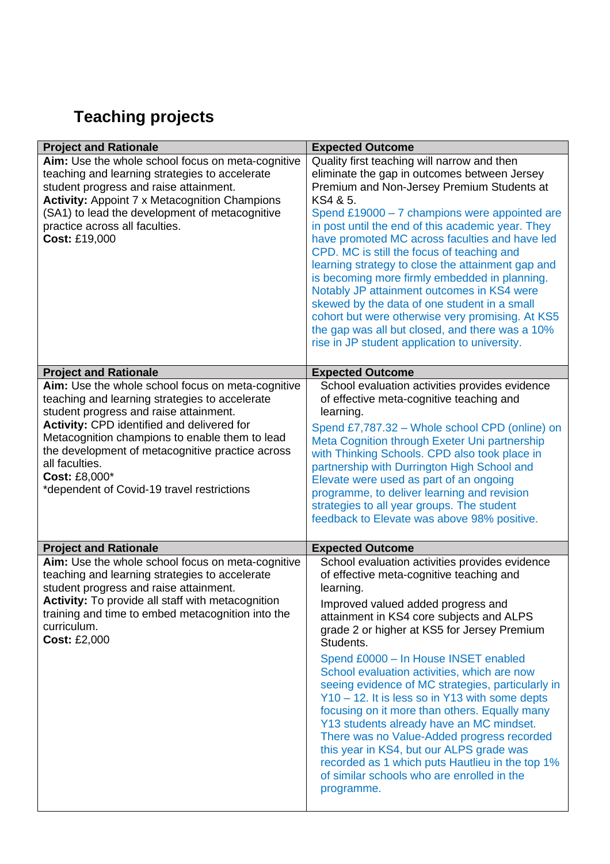## **Teaching projects**

| <b>Project and Rationale</b>                                                                                                                                                                                                                                                                                                                                                       | <b>Expected Outcome</b>                                                                                                                                                                                                                                                                                                                                                                                                                                                                                                                                                                                                                                                                                                                                   |
|------------------------------------------------------------------------------------------------------------------------------------------------------------------------------------------------------------------------------------------------------------------------------------------------------------------------------------------------------------------------------------|-----------------------------------------------------------------------------------------------------------------------------------------------------------------------------------------------------------------------------------------------------------------------------------------------------------------------------------------------------------------------------------------------------------------------------------------------------------------------------------------------------------------------------------------------------------------------------------------------------------------------------------------------------------------------------------------------------------------------------------------------------------|
| Aim: Use the whole school focus on meta-cognitive<br>teaching and learning strategies to accelerate<br>student progress and raise attainment.<br><b>Activity: Appoint 7 x Metacognition Champions</b><br>(SA1) to lead the development of metacognitive<br>practice across all faculties.<br>Cost: £19,000                                                                         | Quality first teaching will narrow and then<br>eliminate the gap in outcomes between Jersey<br>Premium and Non-Jersey Premium Students at<br>KS4 & 5.<br>Spend £19000 - 7 champions were appointed are<br>in post until the end of this academic year. They<br>have promoted MC across faculties and have led<br>CPD. MC is still the focus of teaching and<br>learning strategy to close the attainment gap and<br>is becoming more firmly embedded in planning.<br>Notably JP attainment outcomes in KS4 were<br>skewed by the data of one student in a small<br>cohort but were otherwise very promising. At KS5<br>the gap was all but closed, and there was a 10%<br>rise in JP student application to university.                                   |
| <b>Project and Rationale</b>                                                                                                                                                                                                                                                                                                                                                       | <b>Expected Outcome</b>                                                                                                                                                                                                                                                                                                                                                                                                                                                                                                                                                                                                                                                                                                                                   |
| Aim: Use the whole school focus on meta-cognitive<br>teaching and learning strategies to accelerate<br>student progress and raise attainment.<br>Activity: CPD identified and delivered for<br>Metacognition champions to enable them to lead<br>the development of metacognitive practice across<br>all faculties.<br>Cost: £8,000*<br>*dependent of Covid-19 travel restrictions | School evaluation activities provides evidence<br>of effective meta-cognitive teaching and<br>learning.<br>Spend £7,787.32 - Whole school CPD (online) on<br>Meta Cognition through Exeter Uni partnership<br>with Thinking Schools. CPD also took place in<br>partnership with Durrington High School and<br>Elevate were used as part of an ongoing<br>programme, to deliver learning and revision<br>strategies to all year groups. The student<br>feedback to Elevate was above 98% positive.                                                                                                                                                                                                                                                         |
| <b>Project and Rationale</b>                                                                                                                                                                                                                                                                                                                                                       | <b>Expected Outcome</b>                                                                                                                                                                                                                                                                                                                                                                                                                                                                                                                                                                                                                                                                                                                                   |
| Aim: Use the whole school focus on meta-cognitive<br>teaching and learning strategies to accelerate<br>student progress and raise attainment.<br><b>Activity:</b> To provide all staff with metacognition<br>training and time to embed metacognition into the<br>curriculum.<br><b>Cost: £2,000</b>                                                                               | School evaluation activities provides evidence<br>of effective meta-cognitive teaching and<br>learning.<br>Improved valued added progress and<br>attainment in KS4 core subjects and ALPS<br>grade 2 or higher at KS5 for Jersey Premium<br>Students.<br>Spend £0000 - In House INSET enabled<br>School evaluation activities, which are now<br>seeing evidence of MC strategies, particularly in<br>Y10 - 12. It is less so in Y13 with some depts<br>focusing on it more than others. Equally many<br>Y13 students already have an MC mindset.<br>There was no Value-Added progress recorded<br>this year in KS4, but our ALPS grade was<br>recorded as 1 which puts Hautlieu in the top 1%<br>of similar schools who are enrolled in the<br>programme. |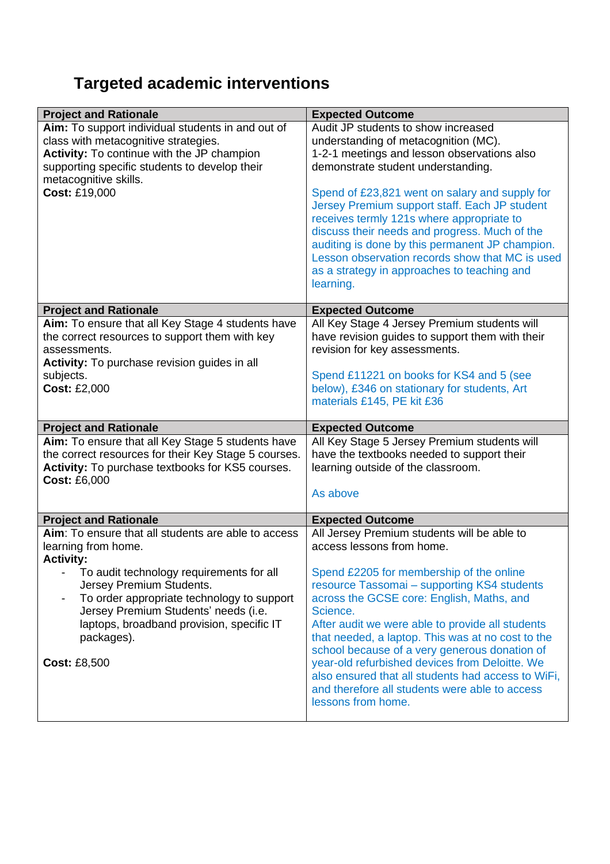## **Targeted academic interventions**

| <b>Project and Rationale</b>                         | <b>Expected Outcome</b>                                              |  |
|------------------------------------------------------|----------------------------------------------------------------------|--|
| Aim: To support individual students in and out of    | Audit JP students to show increased                                  |  |
| class with metacognitive strategies.                 | understanding of metacognition (MC).                                 |  |
| Activity: To continue with the JP champion           | 1-2-1 meetings and lesson observations also                          |  |
| supporting specific students to develop their        | demonstrate student understanding.                                   |  |
| metacognitive skills.                                |                                                                      |  |
| Cost: £19,000                                        | Spend of £23,821 went on salary and supply for                       |  |
|                                                      | Jersey Premium support staff. Each JP student                        |  |
|                                                      | receives termly 121s where appropriate to                            |  |
|                                                      | discuss their needs and progress. Much of the                        |  |
|                                                      | auditing is done by this permanent JP champion.                      |  |
|                                                      | Lesson observation records show that MC is used                      |  |
|                                                      | as a strategy in approaches to teaching and                          |  |
|                                                      | learning.                                                            |  |
| <b>Project and Rationale</b>                         | <b>Expected Outcome</b>                                              |  |
| Aim: To ensure that all Key Stage 4 students have    | All Key Stage 4 Jersey Premium students will                         |  |
| the correct resources to support them with key       | have revision guides to support them with their                      |  |
| assessments.                                         | revision for key assessments.                                        |  |
| Activity: To purchase revision guides in all         |                                                                      |  |
| subjects.                                            | Spend £11221 on books for KS4 and 5 (see                             |  |
| <b>Cost: £2,000</b>                                  | below), £346 on stationary for students, Art                         |  |
|                                                      | materials £145, PE kit £36                                           |  |
|                                                      |                                                                      |  |
| <b>Project and Rationale</b>                         | <b>Expected Outcome</b>                                              |  |
|                                                      |                                                                      |  |
| Aim: To ensure that all Key Stage 5 students have    | All Key Stage 5 Jersey Premium students will                         |  |
| the correct resources for their Key Stage 5 courses. | have the textbooks needed to support their                           |  |
| Activity: To purchase textbooks for KS5 courses.     | learning outside of the classroom.                                   |  |
| <b>Cost: £6,000</b>                                  |                                                                      |  |
|                                                      | As above                                                             |  |
| <b>Project and Rationale</b>                         | <b>Expected Outcome</b>                                              |  |
| Aim: To ensure that all students are able to access  | All Jersey Premium students will be able to                          |  |
| learning from home.                                  | access lessons from home.                                            |  |
| <b>Activity:</b>                                     |                                                                      |  |
| To audit technology requirements for all             | Spend £2205 for membership of the online                             |  |
| Jersey Premium Students.                             | resource Tassomai - supporting KS4 students                          |  |
| To order appropriate technology to support           | across the GCSE core: English, Maths, and                            |  |
| Jersey Premium Students' needs (i.e.                 | Science.                                                             |  |
| laptops, broadband provision, specific IT            | After audit we were able to provide all students                     |  |
| packages).                                           | that needed, a laptop. This was at no cost to the                    |  |
|                                                      | school because of a very generous donation of                        |  |
| <b>Cost: £8,500</b>                                  | year-old refurbished devices from Deloitte. We                       |  |
|                                                      | also ensured that all students had access to WiFi,                   |  |
|                                                      | and therefore all students were able to access<br>lessons from home. |  |